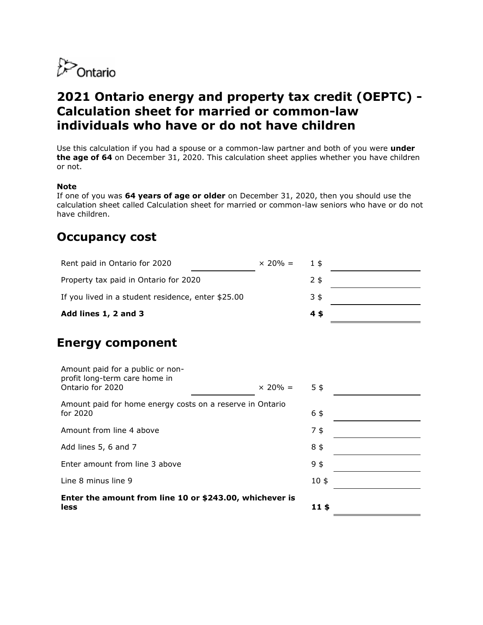

# **2021 Ontario energy and property tax credit (OEPTC) - Calculation sheet for married or common-law individuals who have or do not have children**

Use this calculation if you had a spouse or a common-law partner and both of you were **under the age of 64** on December 31, 2020. This calculation sheet applies whether you have children or not.

#### **Note**

If one of you was **64 years of age or older** on December 31, 2020, then you should use the calculation sheet called Calculation sheet for married or common-law seniors who have or do not have children.

### **Occupancy cost**

| Rent paid in Ontario for 2020                                                         | $\times$ 20% = | $1$ \$         |  |
|---------------------------------------------------------------------------------------|----------------|----------------|--|
| Property tax paid in Ontario for 2020                                                 |                | $2$ \$         |  |
| If you lived in a student residence, enter \$25.00                                    |                | $3\frac{1}{2}$ |  |
| Add lines 1, 2 and 3                                                                  |                | $4$ \$         |  |
| <b>Energy component</b>                                                               |                |                |  |
| Amount paid for a public or non-<br>profit long-term care home in<br>Ontario for 2020 | $\times$ 20% = | 5 <sup>5</sup> |  |
| Amount paid for home energy costs on a reserve in Ontario<br>for 2020                 |                | 6\$            |  |

Amount from line 4 above 7 \$ Add lines  $5, 6$  and  $7$  8 \$ Enter amount from line 3 above 9 \$ Line 8 minus line  $9$  10 \$ **Enter the amount from line 10 or \$243.00, whichever is less 11 \$**